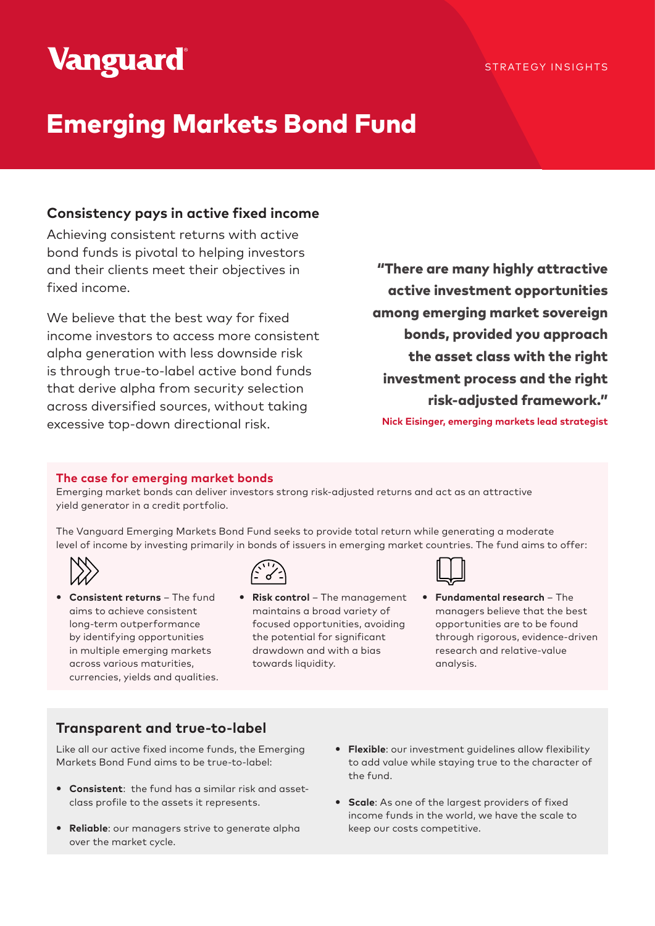# **Vanguard**

## Emerging Markets Bond Fund

## **Consistency pays in active fixed income**

Achieving consistent returns with active bond funds is pivotal to helping investors and their clients meet their objectives in fixed income.

We believe that the best way for fixed income investors to access more consistent alpha generation with less downside risk is through true-to-label active bond funds that derive alpha from security selection across diversified sources, without taking excessive top-down directional risk.

"There are many highly attractive active investment opportunities among emerging market sovereign bonds, provided you approach the asset class with the right investment process and the right risk-adjusted framework."

**Nick Eisinger, emerging markets lead strategist** 

#### **The case for emerging market bonds**

Emerging market bonds can deliver investors strong risk-adjusted returns and act as an attractive yield generator in a credit portfolio.

The Vanguard Emerging Markets Bond Fund seeks to provide total return while generating a moderate level of income by investing primarily in bonds of issuers in emerging market countries. The fund aims to offer:



y **Consistent returns** – The fund aims to achieve consistent long-term outperformance by identifying opportunities in multiple emerging markets across various maturities, currencies, yields and qualities.



**• Risk control** – The management maintains a broad variety of focused opportunities, avoiding the potential for significant drawdown and with a bias towards liquidity.



**• Fundamental research - The** managers believe that the best opportunities are to be found through rigorous, evidence-driven research and relative-value analysis.

## **Transparent and true-to-label**

Like all our active fixed income funds, the Emerging Markets Bond Fund aims to be true-to-label:

- **Consistent**: the fund has a similar risk and assetclass profile to the assets it represents.
- **Reliable**: our managers strive to generate alpha over the market cycle.
- **Flexible:** our investment guidelines allow flexibility to add value while staying true to the character of the fund.
- **Scale:** As one of the largest providers of fixed income funds in the world, we have the scale to keep our costs competitive.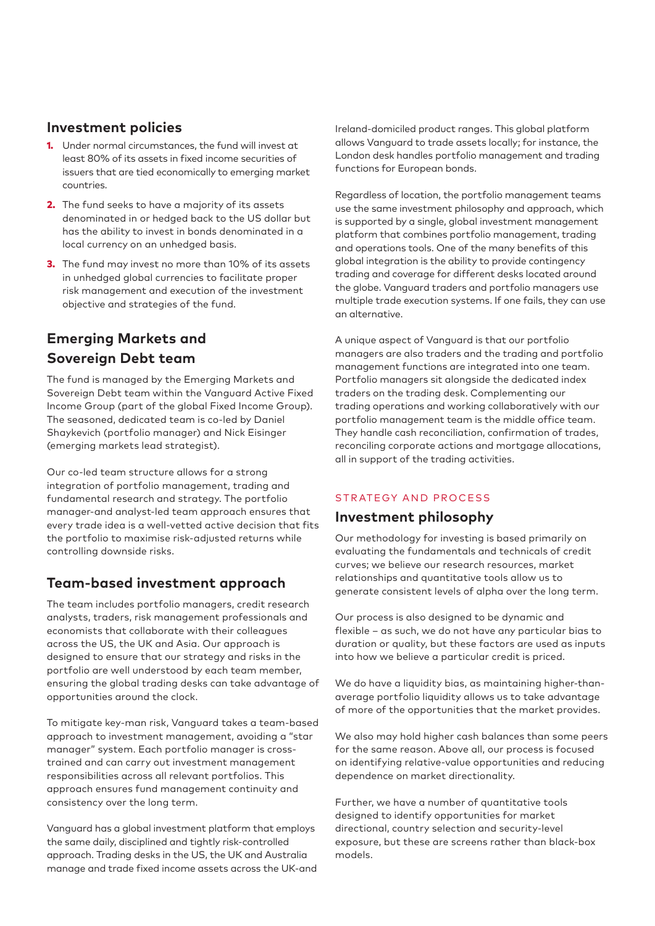## **Investment policies**

- 1. Under normal circumstances, the fund will invest at least 80% of its assets in fixed income securities of issuers that are tied economically to emerging market countries.
- 2. The fund seeks to have a majority of its assets denominated in or hedged back to the US dollar but has the ability to invest in bonds denominated in a local currency on an unhedged basis.
- **3.** The fund may invest no more than 10% of its assets in unhedged global currencies to facilitate proper risk management and execution of the investment objective and strategies of the fund.

## **Emerging Markets and Sovereign Debt team**

The fund is managed by the Emerging Markets and Sovereign Debt team within the Vanguard Active Fixed Income Group (part of the global Fixed Income Group). The seasoned, dedicated team is co-led by Daniel Shaykevich (portfolio manager) and Nick Eisinger (emerging markets lead strategist).

Our co-led team structure allows for a strong integration of portfolio management, trading and fundamental research and strategy. The portfolio manager-and analyst-led team approach ensures that every trade idea is a well-vetted active decision that fits the portfolio to maximise risk-adjusted returns while controlling downside risks.

## **Team-based investment approach**

The team includes portfolio managers, credit research analysts, traders, risk management professionals and economists that collaborate with their colleagues across the US, the UK and Asia. Our approach is designed to ensure that our strategy and risks in the portfolio are well understood by each team member, ensuring the global trading desks can take advantage of opportunities around the clock.

To mitigate key-man risk, Vanguard takes a team-based approach to investment management, avoiding a "star manager" system. Each portfolio manager is crosstrained and can carry out investment management responsibilities across all relevant portfolios. This approach ensures fund management continuity and consistency over the long term.

Vanguard has a global investment platform that employs the same daily, disciplined and tightly risk-controlled approach. Trading desks in the US, the UK and Australia manage and trade fixed income assets across the UK-and

Ireland-domiciled product ranges. This global platform allows Vanguard to trade assets locally; for instance, the London desk handles portfolio management and trading functions for European bonds.

Regardless of location, the portfolio management teams use the same investment philosophy and approach, which is supported by a single, global investment management platform that combines portfolio management, trading and operations tools. One of the many benefits of this global integration is the ability to provide contingency trading and coverage for different desks located around the globe. Vanguard traders and portfolio managers use multiple trade execution systems. If one fails, they can use an alternative.

A unique aspect of Vanguard is that our portfolio managers are also traders and the trading and portfolio management functions are integrated into one team. Portfolio managers sit alongside the dedicated index traders on the trading desk. Complementing our trading operations and working collaboratively with our portfolio management team is the middle office team. They handle cash reconciliation, confirmation of trades, reconciling corporate actions and mortgage allocations, all in support of the trading activities.

#### STRATEGY AND PROCESS

#### **Investment philosophy**

Our methodology for investing is based primarily on evaluating the fundamentals and technicals of credit curves; we believe our research resources, market relationships and quantitative tools allow us to generate consistent levels of alpha over the long term.

Our process is also designed to be dynamic and flexible – as such, we do not have any particular bias to duration or quality, but these factors are used as inputs into how we believe a particular credit is priced.

We do have a liquidity bias, as maintaining higher-thanaverage portfolio liquidity allows us to take advantage of more of the opportunities that the market provides.

We also may hold higher cash balances than some peers for the same reason. Above all, our process is focused on identifying relative-value opportunities and reducing dependence on market directionality.

Further, we have a number of quantitative tools designed to identify opportunities for market directional, country selection and security-level exposure, but these are screens rather than black-box models.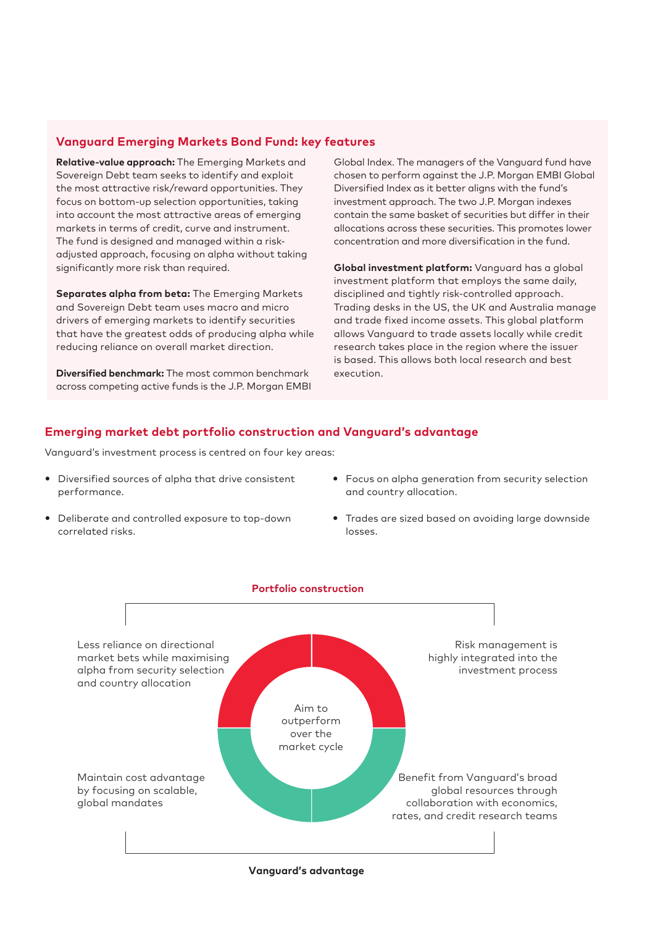#### **Vanguard Emerging Markets Bond Fund: key features**

**Relative-value approach:** The Emerging Markets and Sovereign Debt team seeks to identify and exploit the most attractive risk/reward opportunities. They focus on bottom-up selection opportunities, taking into account the most attractive areas of emerging markets in terms of credit, curve and instrument. The fund is designed and managed within a riskadjusted approach, focusing on alpha without taking significantly more risk than required.

**Separates alpha from beta:** The Emerging Markets and Sovereign Debt team uses macro and micro drivers of emerging markets to identify securities that have the greatest odds of producing alpha while reducing reliance on overall market direction.

**Diversified benchmark:** The most common benchmark across competing active funds is the J.P. Morgan EMBI Global Index. The managers of the Vanguard fund have chosen to perform against the J.P. Morgan EMBI Global Diversified Index as it better aligns with the fund's investment approach. The two J.P. Morgan indexes contain the same basket of securities but differ in their allocations across these securities. This promotes lower concentration and more diversification in the fund.

**Global investment platform:** Vanguard has a global investment platform that employs the same daily, disciplined and tightly risk-controlled approach. Trading desks in the US, the UK and Australia manage and trade fixed income assets. This global platform allows Vanguard to trade assets locally while credit research takes place in the region where the issuer is based. This allows both local research and best execution.

#### **Emerging market debt portfolio construction and Vanguard's advantage**

Vanguard's investment process is centred on four key areas:

- Diversified sources of alpha that drive consistent performance.
- Deliberate and controlled exposure to top-down correlated risks.
- Focus on alpha generation from security selection and country allocation.
- Trades are sized based on avoiding large downside losses.



**Vanguard's advantage**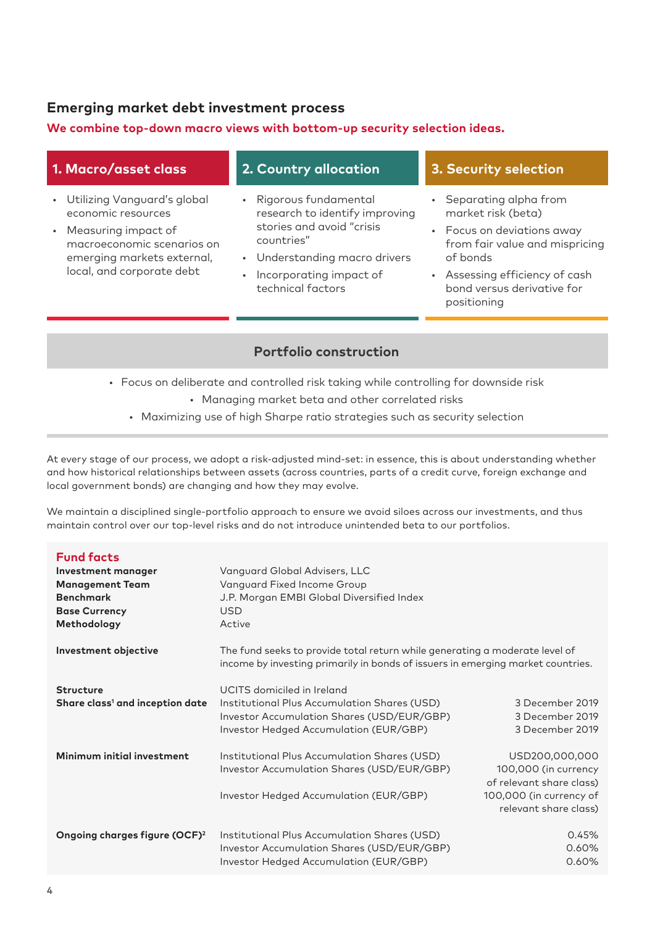## **Emerging market debt investment process**

#### **We combine top-down macro views with bottom-up security selection ideas.**

| 1. Macro/asset class                                    | 2. Country allocation                                                                               | 3. Security selection                                        |
|---------------------------------------------------------|-----------------------------------------------------------------------------------------------------|--------------------------------------------------------------|
| • Utilizing Vanguard's global<br>economic resources     | · Rigorous fundamental<br>research to identify improving<br>stories and avoid "crisis<br>countries" | • Separating alpha from<br>market risk (beta)                |
| • Measuring impact of<br>macroeconomic scenarios on     |                                                                                                     | • Focus on deviations away<br>from fair value and mispricing |
| emerging markets external,<br>local, and corporate debt | • Understanding macro drivers                                                                       | of bonds                                                     |
|                                                         | Incorporating impact of<br>technical factors                                                        | • Assessing efficiency of cash<br>bond versus derivative for |

**Portfolio construction**

positioning

- Focus on deliberate and controlled risk taking while controlling for downside risk
	- Managing market beta and other correlated risks
	- Maximizing use of high Sharpe ratio strategies such as security selection

At every stage of our process, we adopt a risk-adjusted mind-set: in essence, this is about understanding whether and how historical relationships between assets (across countries, parts of a credit curve, foreign exchange and local government bonds) are changing and how they may evolve.

We maintain a disciplined single-portfolio approach to ensure we avoid siloes across our investments, and thus maintain control over our top-level risks and do not introduce unintended beta to our portfolios.

| <b>Fund facts</b><br>Investment manager<br><b>Management Team</b><br><b>Benchmark</b><br><b>Base Currency</b><br>Methodology | Vanguard Global Advisers, LLC<br>Vanguard Fixed Income Group<br>J.P. Morgan EMBI Global Diversified Index<br><b>USD</b><br>Active                                  |                                                                                                                        |  |
|------------------------------------------------------------------------------------------------------------------------------|--------------------------------------------------------------------------------------------------------------------------------------------------------------------|------------------------------------------------------------------------------------------------------------------------|--|
| Investment objective                                                                                                         | The fund seeks to provide total return while generating a moderate level of<br>income by investing primarily in bonds of issuers in emerging market countries.     |                                                                                                                        |  |
| <b>Structure</b><br>Share class <sup>1</sup> and inception date                                                              | UCITS domiciled in Ireland<br>Institutional Plus Accumulation Shares (USD)<br>Investor Accumulation Shares (USD/EUR/GBP)<br>Investor Hedged Accumulation (EUR/GBP) | 3 December 2019<br>3 December 2019<br>3 December 2019                                                                  |  |
| Minimum initial investment                                                                                                   | Institutional Plus Accumulation Shares (USD)<br>Investor Accumulation Shares (USD/EUR/GBP)<br>Investor Hedged Accumulation (EUR/GBP)                               | USD200,000,000<br>100,000 (in currency<br>of relevant share class)<br>100,000 (in currency of<br>relevant share class) |  |
| Ongoing charges figure (OCF) <sup>2</sup>                                                                                    | Institutional Plus Accumulation Shares (USD)<br>Investor Accumulation Shares (USD/EUR/GBP)<br>Investor Hedged Accumulation (EUR/GBP)                               | 0.45%<br>0.60%<br>0.60%                                                                                                |  |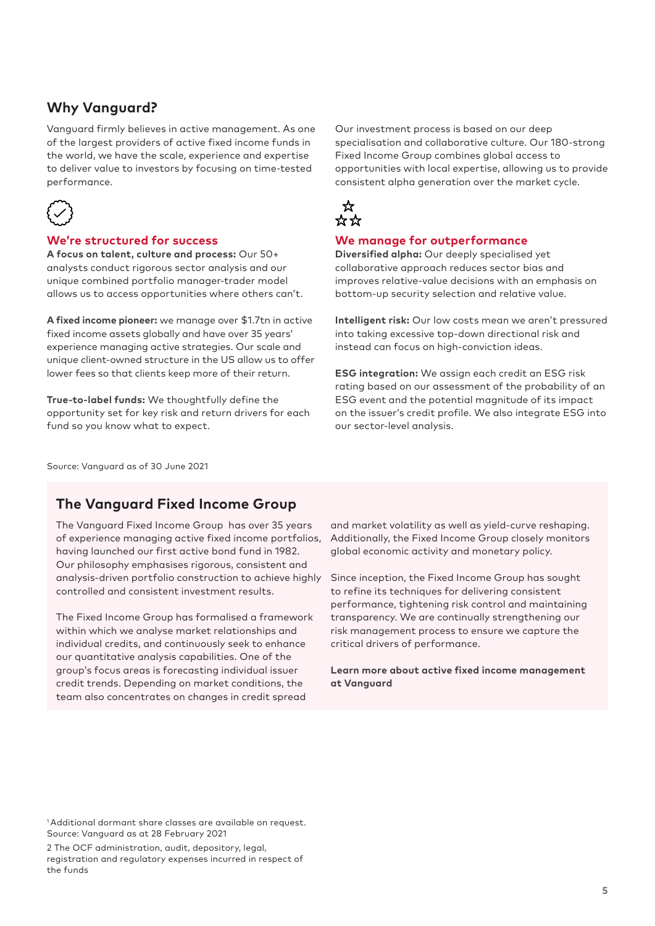## **Why Vanguard?**

Vanguard firmly believes in active management. As one of the largest providers of active fixed income funds in the world, we have the scale, experience and expertise to deliver value to investors by focusing on time-tested performance.



#### **We're structured for success**

**A focus on talent, culture and process:** Our 50+ analysts conduct rigorous sector analysis and our unique combined portfolio manager-trader model allows us to access opportunities where others can't.

**A fixed income pioneer:** we manage over \$1.7tn in active fixed income assets globally and have over 35 years' experience managing active strategies. Our scale and unique client-owned structure in the US allow us to offer lower fees so that clients keep more of their return.

**True-to-label funds:** We thoughtfully define the opportunity set for key risk and return drivers for each fund so you know what to expect.

Our investment process is based on our deep specialisation and collaborative culture. Our 180-strong Fixed Income Group combines global access to opportunities with local expertise, allowing us to provide consistent alpha generation over the market cycle.



#### **We manage for outperformance**

**Diversified alpha:** Our deeply specialised yet collaborative approach reduces sector bias and improves relative-value decisions with an emphasis on bottom-up security selection and relative value.

**Intelligent risk:** Our low costs mean we aren't pressured into taking excessive top-down directional risk and instead can focus on high-conviction ideas.

**ESG integration:** We assign each credit an ESG risk rating based on our assessment of the probability of an ESG event and the potential magnitude of its impact on the issuer's credit profile. We also integrate ESG into our sector-level analysis.

Source: Vanguard as of 30 June 2021

## **The Vanguard Fixed Income Group**

The Vanguard Fixed Income Group has over 35 years of experience managing active fixed income portfolios, having launched our first active bond fund in 1982. Our philosophy emphasises rigorous, consistent and analysis-driven portfolio construction to achieve highly controlled and consistent investment results.

The Fixed Income Group has formalised a framework within which we analyse market relationships and individual credits, and continuously seek to enhance our quantitative analysis capabilities. One of the group's focus areas is forecasting individual issuer credit trends. Depending on market conditions, the team also concentrates on changes in credit spread

and market volatility as well as yield-curve reshaping. Additionally, the Fixed Income Group closely monitors global economic activity and monetary policy.

Since inception, the Fixed Income Group has sought to refine its techniques for delivering consistent performance, tightening risk control and maintaining transparency. We are continually strengthening our risk management process to ensure we capture the critical drivers of performance.

**Learn more about active fixed income management at Vanguard**

<sup>1</sup> Additional dormant share classes are available on request. Source: Vanguard as at 28 February 2021

2 The OCF administration, audit, depository, legal, registration and regulatory expenses incurred in respect of the funds